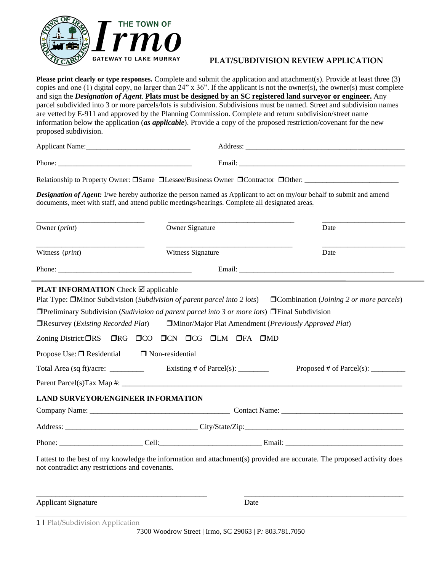

### **PLAT/SUBDIVISION REVIEW APPLICATION**

**Please print clearly or type responses.** Complete and submit the application and attachment(s). Provide at least three (3) copies and one (1) digital copy, no larger than 24" x 36". If the applicant is not the owner(s), the owner(s) must complete and sign the *Designation of Agent*. **Plats must be designed by an SC registered land surveyor or engineer.** Any parcel subdivided into 3 or more parcels/lots is subdivision. Subdivisions must be named. Street and subdivision names are vetted by E-911 and approved by the Planning Commission. Complete and return subdivision/street name information below the application (*as applicable*). Provide a copy of the proposed restriction/covenant for the new proposed subdivision.

Applicant Name:\_\_\_\_\_\_\_\_\_\_\_\_\_\_\_\_\_\_\_\_\_\_\_\_\_\_\_\_\_ Address: \_\_\_\_\_\_\_\_\_\_\_\_\_\_\_\_\_\_\_\_\_\_\_\_\_\_\_\_\_\_\_\_\_\_\_\_\_\_\_\_\_\_\_\_

Relationship to Property Owner: Same Lessee/Business Owner Contractor Other: \_\_\_\_\_\_\_\_\_\_\_\_\_\_\_\_\_\_\_\_\_\_\_\_\_\_

*Designation of Agent:* I/we hereby authorize the person named as Applicant to act on my/our behalf to submit and amend documents, meet with staff, and attend public meetings/hearings. Complete all designated areas.

| Owner (print)                                          | Owner Signature                                                                                                         | Date                                                                                                                            |  |  |
|--------------------------------------------------------|-------------------------------------------------------------------------------------------------------------------------|---------------------------------------------------------------------------------------------------------------------------------|--|--|
| Witness (print)                                        | Witness Signature                                                                                                       | Date                                                                                                                            |  |  |
|                                                        |                                                                                                                         |                                                                                                                                 |  |  |
| <b>PLAT INFORMATION</b> Check $\boxtimes$ applicable   |                                                                                                                         | Plat Type: <b>IMinor Subdivision</b> (Subdivision of parent parcel into 2 lots) <b>ICombination</b> (Joining 2 or more parcels) |  |  |
|                                                        | $\Box$ Preliminary Subdivision (Sudiviaion od parent parcel into 3 or more lots) $\Box$ Final Subdivision               |                                                                                                                                 |  |  |
|                                                        | $\Box$ Resurvey ( <i>Existing Recorded Plat</i> ) $\Box$ Minor/Major Plat Amendment ( <i>Previously Approved Plat</i> ) |                                                                                                                                 |  |  |
|                                                        | Zoning District: ORS ORG OCO OCN OCG OLM OFA OMD                                                                        |                                                                                                                                 |  |  |
| Propose Use: $\Box$ Residential $\Box$ Non-residential |                                                                                                                         |                                                                                                                                 |  |  |
|                                                        |                                                                                                                         | Proposed # of Parcel(s): $\_\_\_\_\_\_\_\_\_\_\_\_\_\_\_\_\_\_$                                                                 |  |  |
|                                                        |                                                                                                                         |                                                                                                                                 |  |  |
| LAND SURVEYOR/ENGINEER INFORMATION                     |                                                                                                                         |                                                                                                                                 |  |  |
|                                                        |                                                                                                                         |                                                                                                                                 |  |  |
|                                                        |                                                                                                                         |                                                                                                                                 |  |  |
|                                                        |                                                                                                                         |                                                                                                                                 |  |  |
| not contradict any restrictions and covenants.         |                                                                                                                         | I attest to the best of my knowledge the information and attachment(s) provided are accurate. The proposed activity does        |  |  |
|                                                        |                                                                                                                         |                                                                                                                                 |  |  |

Applicant Signature Date

**1 |** Plat/Subdivision Application

7300 Woodrow Street | Irmo, SC 29063 | P*:* 803.781.7050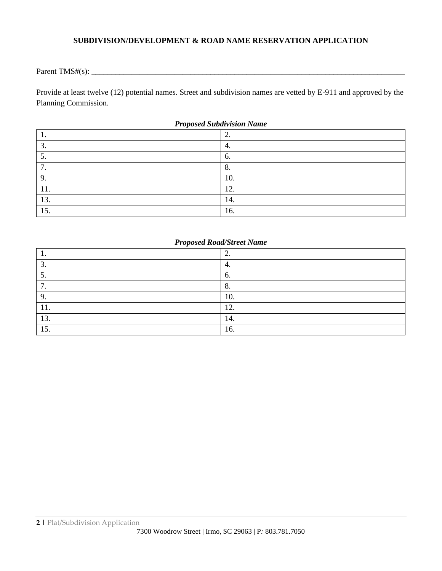## **SUBDIVISION/DEVELOPMENT & ROAD NAME RESERVATION APPLICATION**

Parent TMS#(s): \_\_\_\_\_\_\_\_\_\_\_\_\_\_\_\_\_\_\_\_\_\_\_\_\_\_\_\_\_\_\_\_\_\_\_\_\_\_\_\_\_\_\_\_\_\_\_\_\_\_\_\_\_\_\_\_\_\_\_\_\_\_\_\_\_\_\_\_\_\_\_\_\_\_\_\_\_\_\_

Provide at least twelve (12) potential names. Street and subdivision names are vetted by E-911 and approved by the Planning Commission.

| Troposeu suburrision France |              |  |  |
|-----------------------------|--------------|--|--|
| . .                         | <u>L</u> .   |  |  |
| $\bigcirc$<br>$\cup$ .      | 4.           |  |  |
|                             | 6.           |  |  |
| −<br>. .                    | $\mathbf{o}$ |  |  |
| q                           | 10.          |  |  |
| .                           | 12.          |  |  |
| 13.                         | 14.          |  |  |
| 15.                         | 16.          |  |  |

#### *Proposed Subdivision Name*

## *Proposed Road/Street Name*

| . .          | ◠<br><u>L</u> . |
|--------------|-----------------|
| $\sim$<br>J. | 4.              |
| J.           | 6.              |
| ┍<br>. .     | 8.              |
| 9.           | 10.             |
| .            | 12.             |
| 13.          | 14.             |
| 15.          | 16.             |